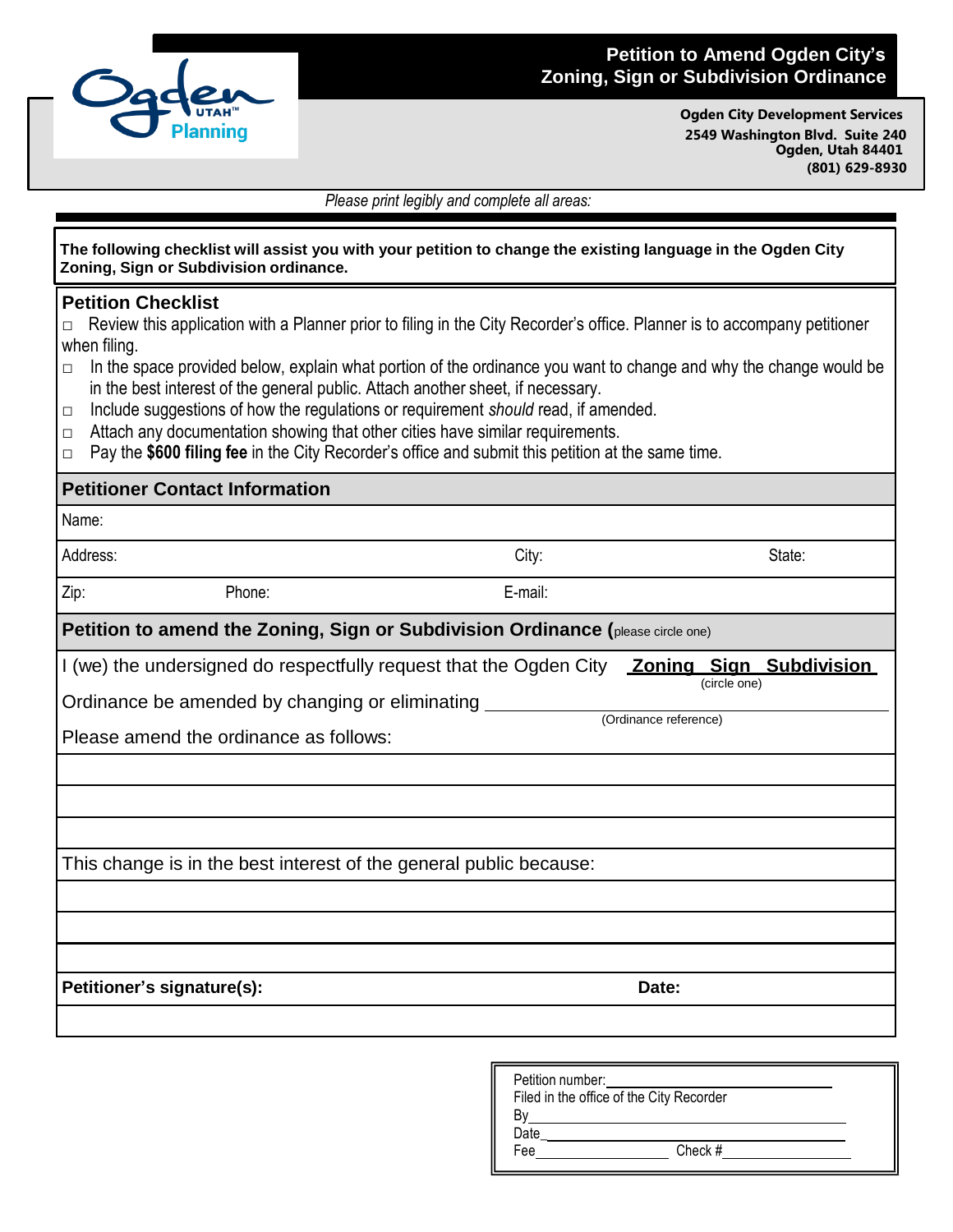

## **Petition to Amend Ogden City's Zoning, Sign or Subdivision Ordinance**

**Ogden City Development Services 2549 Washington Blvd. Suite 240 Ogden, Utah 84401 (801) 629-8930**

*Please print legibly and complete all areas:*

| The following checklist will assist you with your petition to change the existing language in the Ogden City<br>Zoning, Sign or Subdivision ordinance.                                                                                                                                                                                                                                                                                                                                                                                                                                                                                                                                  |                  |                                                                         |
|-----------------------------------------------------------------------------------------------------------------------------------------------------------------------------------------------------------------------------------------------------------------------------------------------------------------------------------------------------------------------------------------------------------------------------------------------------------------------------------------------------------------------------------------------------------------------------------------------------------------------------------------------------------------------------------------|------------------|-------------------------------------------------------------------------|
| <b>Petition Checklist</b><br>Review this application with a Planner prior to filing in the City Recorder's office. Planner is to accompany petitioner<br>□<br>when filing.<br>In the space provided below, explain what portion of the ordinance you want to change and why the change would be<br>$\Box$<br>in the best interest of the general public. Attach another sheet, if necessary.<br>Include suggestions of how the regulations or requirement should read, if amended.<br>□<br>Attach any documentation showing that other cities have similar requirements.<br>□<br>Pay the \$600 filing fee in the City Recorder's office and submit this petition at the same time.<br>□ |                  |                                                                         |
| <b>Petitioner Contact Information</b>                                                                                                                                                                                                                                                                                                                                                                                                                                                                                                                                                                                                                                                   |                  |                                                                         |
| Name:                                                                                                                                                                                                                                                                                                                                                                                                                                                                                                                                                                                                                                                                                   |                  |                                                                         |
| Address:                                                                                                                                                                                                                                                                                                                                                                                                                                                                                                                                                                                                                                                                                | City:            | State:                                                                  |
| Zip:<br>Phone:                                                                                                                                                                                                                                                                                                                                                                                                                                                                                                                                                                                                                                                                          | E-mail:          |                                                                         |
| Petition to amend the Zoning, Sign or Subdivision Ordinance (please circle one)                                                                                                                                                                                                                                                                                                                                                                                                                                                                                                                                                                                                         |                  |                                                                         |
| I (we) the undersigned do respectfully request that the Ogden City<br>Ordinance be amended by changing or eliminating<br>Please amend the ordinance as follows:                                                                                                                                                                                                                                                                                                                                                                                                                                                                                                                         |                  | <b>Zoning Sign Subdivision</b><br>(circle one)<br>(Ordinance reference) |
| This change is in the best interest of the general public because:                                                                                                                                                                                                                                                                                                                                                                                                                                                                                                                                                                                                                      |                  |                                                                         |
| Petitioner's signature(s):                                                                                                                                                                                                                                                                                                                                                                                                                                                                                                                                                                                                                                                              |                  | Date:                                                                   |
|                                                                                                                                                                                                                                                                                                                                                                                                                                                                                                                                                                                                                                                                                         | Petition number: |                                                                         |

| Filed in the office of the City Recorder |  |  |
|------------------------------------------|--|--|
|                                          |  |  |
|                                          |  |  |
| Check #                                  |  |  |
|                                          |  |  |